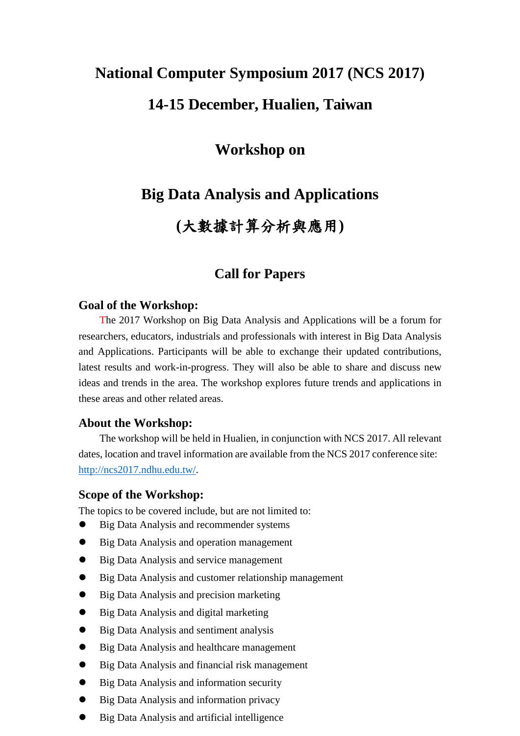### **National Computer Symposium 2017 (NCS 2017)**

## **14-15 December, Hualien, Taiwan**

## **Workshop on**

## **Big Data Analysis and Applications**

# **(**大數據計算分析與應用**)**

### **Call for Papers**

#### **Goal of the Workshop:**

The 2017 Workshop on Big Data Analysis and Applications will be a forum for researchers, educators, industrials and professionals with interest in Big Data Analysis and Applications. Participants will be able to exchange their updated contributions, latest results and work-in-progress. They will also be able to share and discuss new ideas and trends in the area. The workshop explores future trends and applications in these areas and other related areas.

#### **About the Workshop:**

The workshop will be held in Hualien, in conjunction with NCS 2017. All relevant dates, location and travel information are available from the NCS 2017 conference site: [http://ncs2017.ndhu.edu.tw/.](http://ncs2017.ndhu.edu.tw/)

#### **Scope of the Workshop:**

The topics to be covered include, but are not limited to:

- Big Data Analysis and recommender systems
- Big Data Analysis and operation management
- Big Data Analysis and service management
- Big Data Analysis and customer relationship management
- Big Data Analysis and precision marketing
- Big Data Analysis and digital marketing
- Big Data Analysis and sentiment analysis
- Big Data Analysis and healthcare management
- Big Data Analysis and financial risk management
- Big Data Analysis and information security
- Big Data Analysis and information privacy
- Big Data Analysis and artificial intelligence